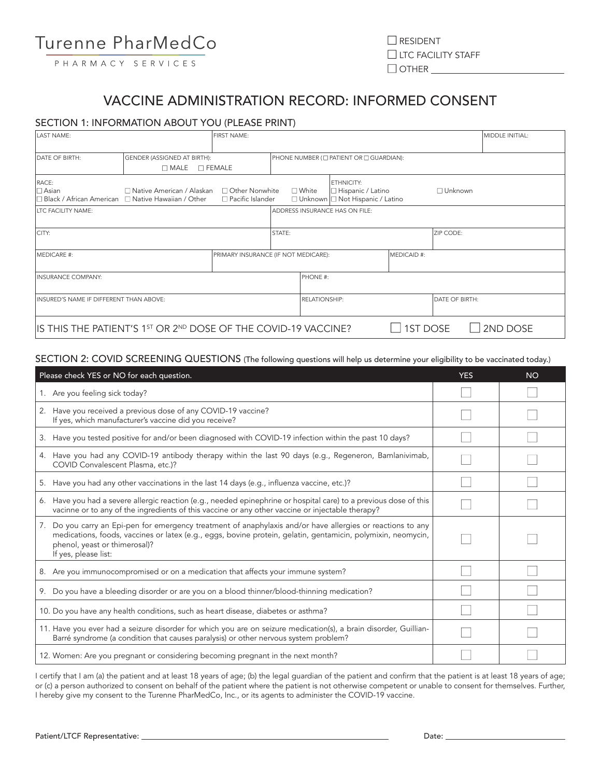## VACCINE ADMINISTRATION RECORD: INFORMED CONSENT

## SECTION 1: INFORMATION ABOUT YOU (PLEASE PRINT)

| <b>LAST NAME:</b>                                                                      | <b>FIRST NAME:</b>                           |                         |                                         |               |                                                                         |                 | MIDDLE INITIAL: |          |
|----------------------------------------------------------------------------------------|----------------------------------------------|-------------------------|-----------------------------------------|---------------|-------------------------------------------------------------------------|-----------------|-----------------|----------|
| <b>DATE OF BIRTH:</b>                                                                  | GENDER (ASSIGNED AT BIRTH):                  |                         | PHONE NUMBER (I PATIENT OR I GUARDIAN): |               |                                                                         |                 |                 |          |
|                                                                                        | $\square$ MALE                               | $\square$ FEMALE        |                                         |               |                                                                         |                 |                 |          |
| RACE:<br>$\square$ Asian<br>□ Black / African American □ Native Hawaiian / Other       | □ Native American / Alaskan □ Other Nonwhite | $\Box$ Pacific Islander | $\square$ White                         |               | ETHNICITY:<br> □ Hispanic / Latino<br>□ Unknown □ Not Hispanic / Latino |                 | □ Unknown       |          |
| <b>LTC FACILITY NAME:</b>                                                              |                                              |                         |                                         |               | ADDRESS INSURANCE HAS ON FILE:                                          |                 |                 |          |
| CITY:                                                                                  |                                              |                         | <b>STATE:</b>                           |               |                                                                         |                 | ZIP CODE:       |          |
| <b>IMFDICARE #:</b><br>PRIMARY INSURANCE (IF NOT MEDICARE):                            |                                              |                         | MEDICAID #:                             |               |                                                                         |                 |                 |          |
| <b>INSURANCE COMPANY:</b>                                                              |                                              |                         |                                         | PHONE #:      |                                                                         |                 |                 |          |
| INSURED'S NAME IF DIFFERENT THAN ABOVE:                                                |                                              |                         |                                         | RELATIONSHIP: |                                                                         |                 | DATE OF BIRTH:  |          |
| IS THIS THE PATIENT'S 1 <sup>ST</sup> OR 2 <sup>ND</sup> DOSE OF THE COVID-19 VACCINE? |                                              |                         |                                         |               |                                                                         | <b>1ST DOSE</b> |                 | 2ND DOSE |

## SECTION 2: COVID SCREENING QUESTIONS (The following questions will help us determine your eligibility to be vaccinated today.)

| Please check YES or NO for each question.                                                                                                                                                                                                                                            | <b>YES</b> | <b>NO</b> |
|--------------------------------------------------------------------------------------------------------------------------------------------------------------------------------------------------------------------------------------------------------------------------------------|------------|-----------|
| 1. Are you feeling sick today?                                                                                                                                                                                                                                                       |            |           |
| 2. Have you received a previous dose of any COVID-19 vaccine?<br>If yes, which manufacturer's vaccine did you receive?                                                                                                                                                               |            |           |
| 3. Have you tested positive for and/or been diagnosed with COVID-19 infection within the past 10 days?                                                                                                                                                                               |            |           |
| 4. Have you had any COVID-19 antibody therapy within the last 90 days (e.g., Regeneron, Bamlanivimab,<br>COVID Convalescent Plasma, etc.)?                                                                                                                                           |            |           |
| 5. Have you had any other vaccinations in the last 14 days (e.g., influenza vaccine, etc.)?                                                                                                                                                                                          |            |           |
| 6. Have you had a severe allergic reaction (e.g., needed epinephrine or hospital care) to a previous dose of this<br>vacinne or to any of the ingredients of this vaccine or any other vaccine or injectable therapy?                                                                |            |           |
| 7. Do you carry an Epi-pen for emergency treatment of anaphylaxis and/or have allergies or reactions to any<br>medications, foods, vaccines or latex (e.g., eggs, bovine protein, gelatin, gentamicin, polymixin, neomycin,<br>phenol, yeast or thimerosal)?<br>If yes, please list: |            |           |
| 8. Are you immunocompromised or on a medication that affects your immune system?                                                                                                                                                                                                     |            |           |
| 9. Do you have a bleeding disorder or are you on a blood thinner/blood-thinning medication?                                                                                                                                                                                          |            |           |
| 10. Do you have any health conditions, such as heart disease, diabetes or asthma?                                                                                                                                                                                                    |            |           |
| 11. Have you ever had a seizure disorder for which you are on seizure medication(s), a brain disorder, Guillian-<br>Barré syndrome (a condition that causes paralysis) or other nervous system problem?                                                                              |            |           |
| 12. Women: Are you pregnant or considering becoming pregnant in the next month?                                                                                                                                                                                                      |            |           |

I certify that I am (a) the patient and at least 18 years of age; (b) the legal guardian of the patient and confirm that the patient is at least 18 years of age; or (c) a person authorized to consent on behalf of the patient where the patient is not otherwise competent or unable to consent for themselves. Further, I hereby give my consent to the Turenne PharMedCo, Inc., or its agents to administer the COVID-19 vaccine.